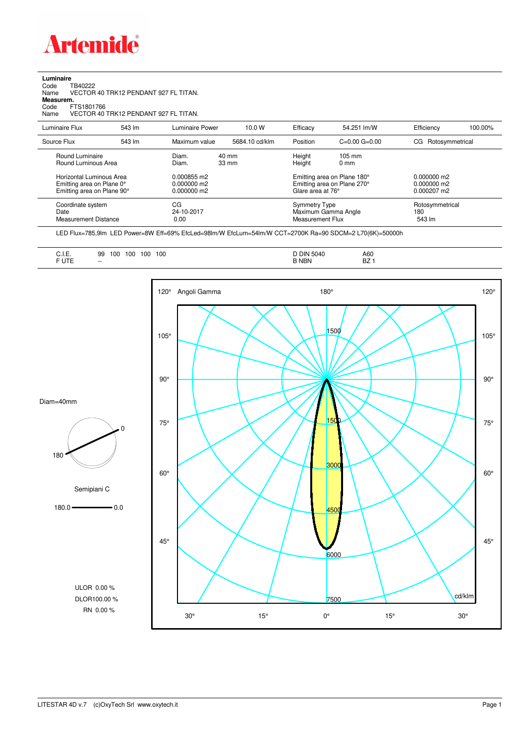

**Luminaire**

| Code<br>TB40222<br>Name<br>Measurem.<br>Code<br>FTS1801766<br>Name                  | VECTOR 40 TRK12 PENDANT 927 FL TITAN.<br>VECTOR 40 TRK12 PENDANT 927 FL TITAN. |                                           |                |                                                 |                                                            |                                               |         |
|-------------------------------------------------------------------------------------|--------------------------------------------------------------------------------|-------------------------------------------|----------------|-------------------------------------------------|------------------------------------------------------------|-----------------------------------------------|---------|
| Luminaire Flux                                                                      | 543 lm                                                                         | <b>Luminaire Power</b>                    | 10.0 W         | Efficacy                                        | 54.251 lm/W                                                | Efficiency                                    | 100.00% |
| Source Flux                                                                         | 543 lm                                                                         | Maximum value                             | 5684.10 cd/klm | Position                                        | $C = 0.00$ $G = 0.00$                                      | Rotosymmetrical<br>CG                         |         |
| Round Luminaire<br>Round Luminous Area                                              |                                                                                | Diam.<br>Diam.                            | 40 mm<br>33 mm | Height<br>Height                                | $105 \text{ mm}$<br>0 <sub>mm</sub>                        |                                               |         |
| Horizontal Luminous Area<br>Emitting area on Plane 0°<br>Emitting area on Plane 90° |                                                                                | 0.000855 m2<br>0.000000 m2<br>0.000000 m2 |                | Glare area at 76°                               | Emitting area on Plane 180°<br>Emitting area on Plane 270° | $0.000000$ m2<br>$0.000000$ m2<br>0.000207 m2 |         |
| Coordinate system<br>Date<br><b>Measurement Distance</b>                            |                                                                                | CG<br>24-10-2017<br>0.00                  |                | <b>Symmetry Type</b><br><b>Measurement Flux</b> | Maximum Gamma Angle                                        | Rotosymmetrical<br>180<br>543 lm              |         |

LED Flux=785,9lm LED Power=8W Eff=69% EfcLed=98lm/W EfcLum=54lm/W CCT=2700K Ra=90 SDCM=2 L70(6K)=50000h